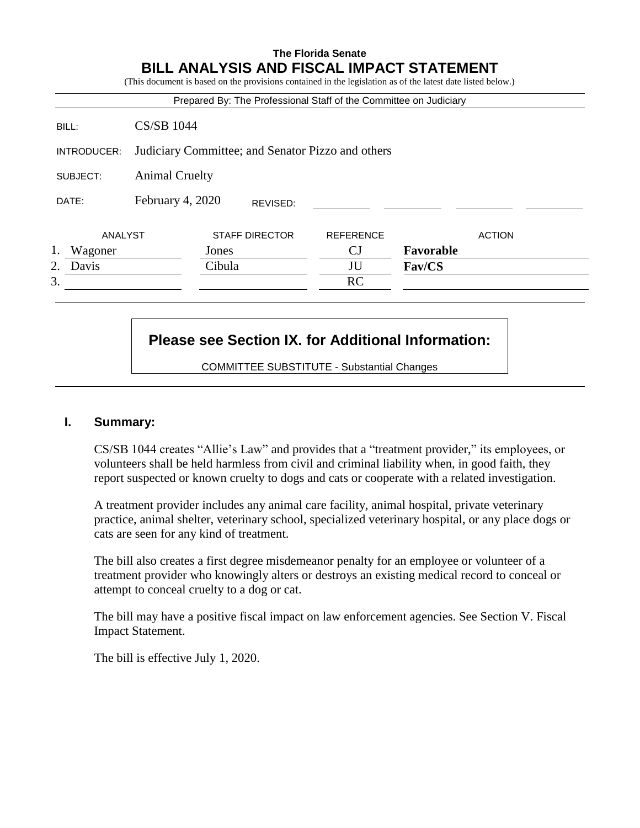## **The Florida Senate BILL ANALYSIS AND FISCAL IMPACT STATEMENT**

(This document is based on the provisions contained in the legislation as of the latest date listed below.)

|             |                                                   | Prepared By: The Professional Staff of the Committee on Judiciary |                  |               |               |
|-------------|---------------------------------------------------|-------------------------------------------------------------------|------------------|---------------|---------------|
| BILL:       | <b>CS/SB 1044</b>                                 |                                                                   |                  |               |               |
| INTRODUCER: | Judiciary Committee; and Senator Pizzo and others |                                                                   |                  |               |               |
| SUBJECT:    | <b>Animal Cruelty</b>                             |                                                                   |                  |               |               |
| DATE:       | February 4, 2020                                  | REVISED:                                                          |                  |               |               |
| ANALYST     |                                                   | <b>STAFF DIRECTOR</b>                                             | <b>REFERENCE</b> |               | <b>ACTION</b> |
| Wagoner     |                                                   | Jones                                                             | CJ               | Favorable     |               |
| 2.<br>Davis |                                                   | Cibula                                                            | JU               | <b>Fav/CS</b> |               |
| 3.          |                                                   |                                                                   | <b>RC</b>        |               |               |

# **Please see Section IX. for Additional Information:**

COMMITTEE SUBSTITUTE - Substantial Changes

#### **I. Summary:**

CS/SB 1044 creates "Allie's Law" and provides that a "treatment provider," its employees, or volunteers shall be held harmless from civil and criminal liability when, in good faith, they report suspected or known cruelty to dogs and cats or cooperate with a related investigation.

A treatment provider includes any animal care facility, animal hospital, private veterinary practice, animal shelter, veterinary school, specialized veterinary hospital, or any place dogs or cats are seen for any kind of treatment.

The bill also creates a first degree misdemeanor penalty for an employee or volunteer of a treatment provider who knowingly alters or destroys an existing medical record to conceal or attempt to conceal cruelty to a dog or cat.

The bill may have a positive fiscal impact on law enforcement agencies. See Section V. Fiscal Impact Statement.

The bill is effective July 1, 2020.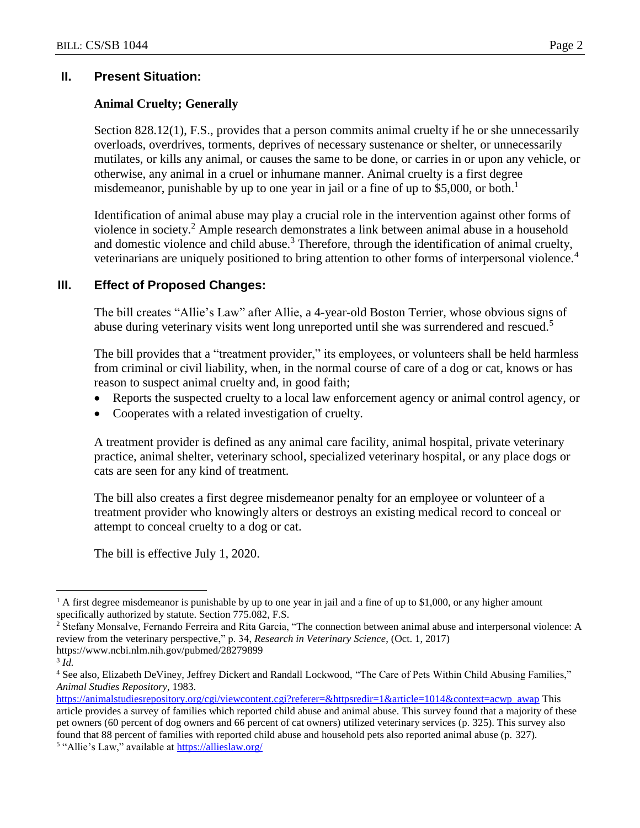#### **II. Present Situation:**

#### **Animal Cruelty; Generally**

Section 828.12(1), F.S., provides that a person commits animal cruelty if he or she unnecessarily overloads, overdrives, torments, deprives of necessary sustenance or shelter, or unnecessarily mutilates, or kills any animal, or causes the same to be done, or carries in or upon any vehicle, or otherwise, any animal in a cruel or inhumane manner. Animal cruelty is a first degree misdemeanor, punishable by up to one year in jail or a fine of up to \$5,000, or both.<sup>1</sup>

Identification of animal abuse may play a crucial role in the intervention against other forms of violence in society.<sup>2</sup> Ample research demonstrates a link between animal abuse in a household and domestic violence and child abuse.<sup>3</sup> Therefore, through the identification of animal cruelty, veterinarians are uniquely positioned to bring attention to other forms of interpersonal violence.<sup>4</sup>

#### **III. Effect of Proposed Changes:**

The bill creates "Allie's Law" after Allie, a 4-year-old Boston Terrier, whose obvious signs of abuse during veterinary visits went long unreported until she was surrendered and rescued.<sup>5</sup>

The bill provides that a "treatment provider," its employees, or volunteers shall be held harmless from criminal or civil liability, when, in the normal course of care of a dog or cat, knows or has reason to suspect animal cruelty and, in good faith;

- Reports the suspected cruelty to a local law enforcement agency or animal control agency, or
- Cooperates with a related investigation of cruelty.

A treatment provider is defined as any animal care facility, animal hospital, private veterinary practice, animal shelter, veterinary school, specialized veterinary hospital, or any place dogs or cats are seen for any kind of treatment.

The bill also creates a first degree misdemeanor penalty for an employee or volunteer of a treatment provider who knowingly alters or destroys an existing medical record to conceal or attempt to conceal cruelty to a dog or cat.

The bill is effective July 1, 2020.

 $\overline{a}$ 

<sup>&</sup>lt;sup>1</sup> A first degree misdemeanor is punishable by up to one year in jail and a fine of up to \$1,000, or any higher amount specifically authorized by statute. Section 775.082, F.S.

<sup>2</sup> Stefany Monsalve, Fernando Ferreira and Rita Garcia, "The connection between animal abuse and interpersonal violence: A review from the veterinary perspective," p. 34, *Research in Veterinary Science*, (Oct. 1, 2017) https://www.ncbi.nlm.nih.gov/pubmed/28279899

<sup>3</sup> *Id.*

<sup>&</sup>lt;sup>4</sup> See also, Elizabeth DeViney, Jeffrey Dickert and Randall Lockwood, "The Care of Pets Within Child Abusing Families," *Animal Studies Repository*, 1983.

[https://animalstudiesrepository.org/cgi/viewcontent.cgi?referer=&httpsredir=1&article=1014&context=acwp\\_awap](https://animalstudiesrepository.org/cgi/viewcontent.cgi?referer=&httpsredir=1&article=1014&context=acwp_awap) This article provides a survey of families which reported child abuse and animal abuse. This survey found that a majority of these pet owners (60 percent of dog owners and 66 percent of cat owners) utilized veterinary services (p. 325). This survey also found that 88 percent of families with reported child abuse and household pets also reported animal abuse (p. 327). <sup>5</sup> "Allie's Law," available at **https://allieslaw.org/**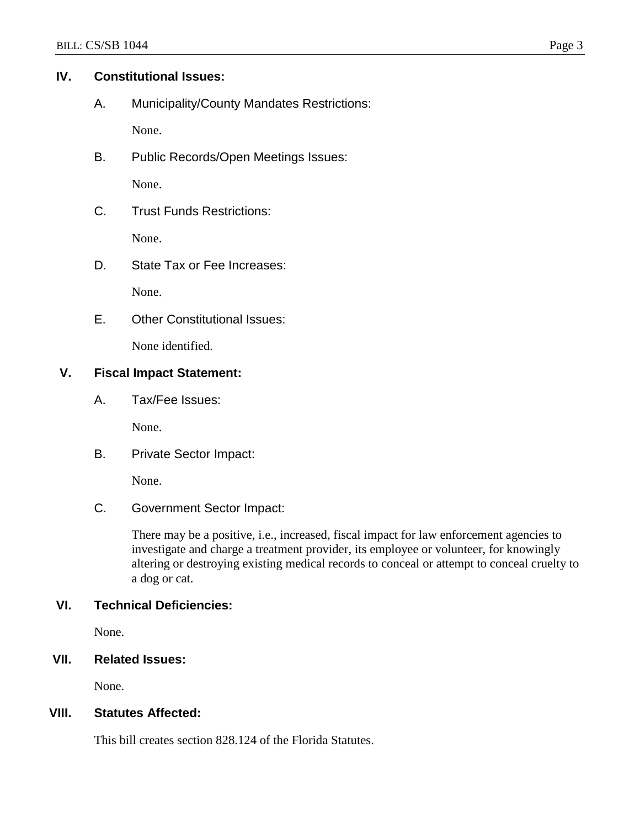#### **IV. Constitutional Issues:**

A. Municipality/County Mandates Restrictions:

None.

B. Public Records/Open Meetings Issues:

None.

C. Trust Funds Restrictions:

None.

D. State Tax or Fee Increases:

None.

E. Other Constitutional Issues:

None identified.

### **V. Fiscal Impact Statement:**

A. Tax/Fee Issues:

None.

B. Private Sector Impact:

None.

C. Government Sector Impact:

There may be a positive, i.e., increased, fiscal impact for law enforcement agencies to investigate and charge a treatment provider, its employee or volunteer, for knowingly altering or destroying existing medical records to conceal or attempt to conceal cruelty to a dog or cat.

## **VI. Technical Deficiencies:**

None.

## **VII. Related Issues:**

None.

### **VIII. Statutes Affected:**

This bill creates section 828.124 of the Florida Statutes.